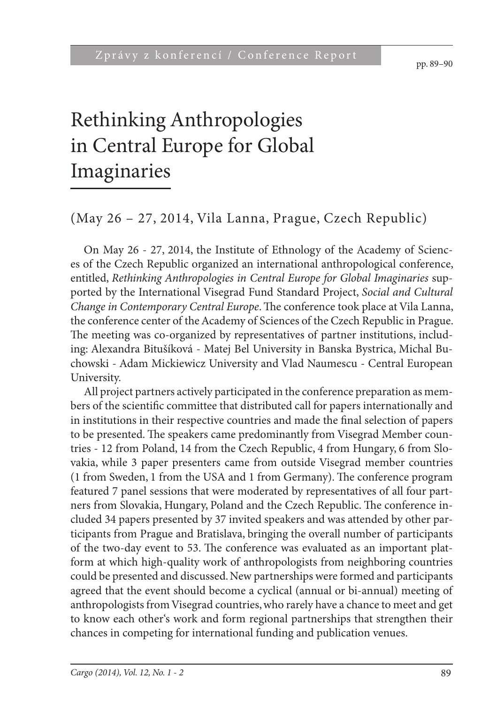pp. 89–90

# Rethinking Anthropologies in Central Europe for Global Imaginaries

### (May 26 – 27, 2014, Vila Lanna, Prague, Czech Republic)

On May 26 - 27, 2014, the Institute of Ethnology of the Academy of Sciences of the Czech Republic organized an international anthropological conference, entitled, *Rethinking Anthropologies in Central Europe for Global Imaginaries* supported by the International Visegrad Fund Standard Project, *Social and Cultural Change in Contemporary Central Europe*. The conference took place at Vila Lanna, the conference center of the Academy of Sciences of the Czech Republic in Prague. The meeting was co-organized by representatives of partner institutions, including: Alexandra Bitušíková - Matej Bel University in Banska Bystrica, Michal Buchowski - Adam Mickiewicz University and Vlad Naumescu - Central European University.

All project partners actively participated in the conference preparation as members of the scientific committee that distributed call for papers internationally and in institutions in their respective countries and made the final selection of papers to be presented. The speakers came predominantly from Visegrad Member countries - 12 from Poland, 14 from the Czech Republic, 4 from Hungary, 6 from Slovakia, while 3 paper presenters came from outside Visegrad member countries  $(1$  from Sweden, 1 from the USA and 1 from Germany). The conference program featured 7 panel sessions that were moderated by representatives of all four partners from Slovakia, Hungary, Poland and the Czech Republic. The conference included 34 papers presented by 37 invited speakers and was attended by other participants from Prague and Bratislava, bringing the overall number of participants of the two-day event to 53. The conference was evaluated as an important platform at which high-quality work of anthropologists from neighboring countries could be presented and discussed. New partnerships were formed and participants agreed that the event should become a cyclical (annual or bi-annual) meeting of anthropologists from Visegrad countries, who rarely have a chance to meet and get to know each other's work and form regional partnerships that strengthen their chances in competing for international funding and publication venues.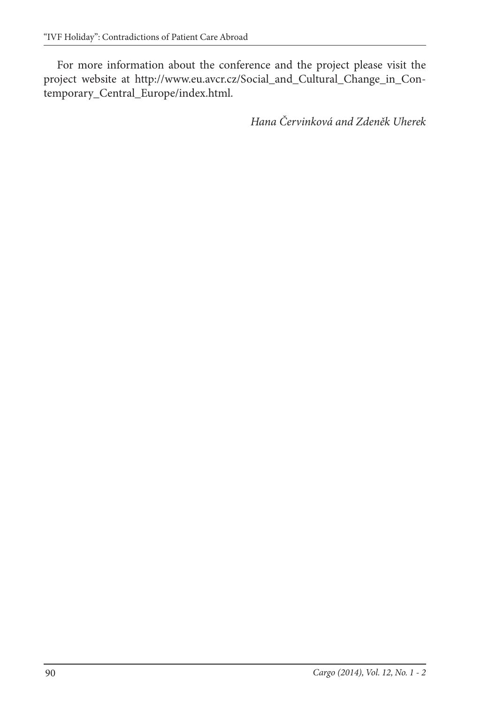For more information about the conference and the project please visit the project website at http://www.eu.avcr.cz/Social\_and\_Cultural\_Change\_in\_Contemporary\_Central\_Europe/index.html.

*Hana Červinková and Zdeněk Uherek*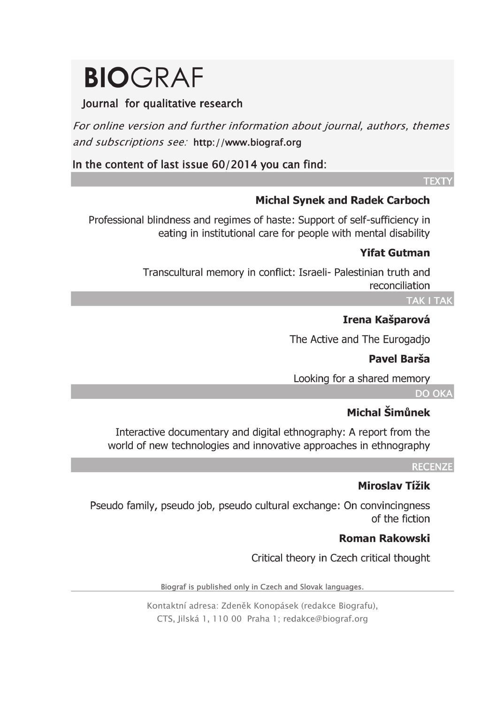# **BIOGRAF**

#### lournal for qualitative research

For online version and further information about journal, authors, themes and subscriptions see: http://www.biograf.org

In the content of last issue 60/2014 you can find:

#### **TFXTY**

#### **Michal Synek and Radek Carboch**

Professional blindness and regimes of haste: Support of self-sufficiency in eating in institutional care for people with mental disability

#### **Yifat Gutman**

Transcultural memory in conflict: Israeli- Palestinian truth and reconciliation

#### **TAK I TAK**

#### Irena Kašparová

The Active and The Eurogadio

#### Pavel Barša

Looking for a shared memory

#### DO OKA

#### Michal Šimůnek

Interactive documentary and digital ethnography: A report from the world of new technologies and innovative approaches in ethnography

#### **RECENZE**

#### **Miroslav Tížik**

Pseudo family, pseudo job, pseudo cultural exchange: On convincingness of the fiction

#### **Roman Rakowski**

Critical theory in Czech critical thought

Biograf is published only in Czech and Slovak languages.

Kontaktní adresa: Zdeněk Konopásek (redakce Biografu), CTS, Jilská 1, 110 00 Praha 1; redakce@biograf.org